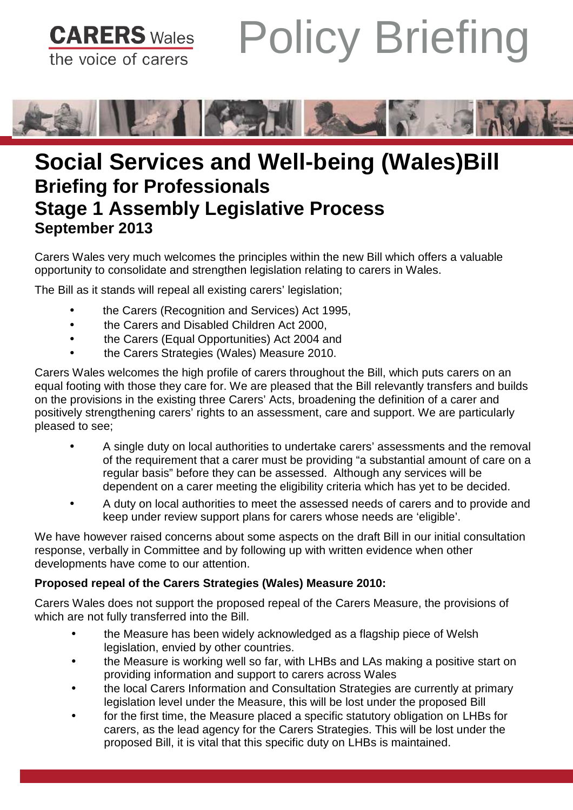Policy Briefing **CARERS** Wales the voice of carers



# **Social Services and Well-being (Wales)Bill Briefing for Professionals Stage 1 Assembly Legislative Process September 2013**

Carers Wales very much welcomes the principles within the new Bill which offers a valuable opportunity to consolidate and strengthen legislation relating to carers in Wales.

The Bill as it stands will repeal all existing carers' legislation;

- the Carers (Recognition and Services) Act 1995,
- the Carers and Disabled Children Act 2000,
- the Carers (Equal Opportunities) Act 2004 and
- the Carers Strategies (Wales) Measure 2010.

Carers Wales welcomes the high profile of carers throughout the Bill, which puts carers on an equal footing with those they care for. We are pleased that the Bill relevantly transfers and builds on the provisions in the existing three Carers' Acts, broadening the definition of a carer and positively strengthening carers' rights to an assessment, care and support. We are particularly pleased to see;

- A single duty on local authorities to undertake carers' assessments and the removal of the requirement that a carer must be providing "a substantial amount of care on a regular basis" before they can be assessed. Although any services will be dependent on a carer meeting the eligibility criteria which has yet to be decided.
- A duty on local authorities to meet the assessed needs of carers and to provide and keep under review support plans for carers whose needs are 'eligible'.

We have however raised concerns about some aspects on the draft Bill in our initial consultation response, verbally in Committee and by following up with written evidence when other developments have come to our attention.

## **Proposed repeal of the Carers Strategies (Wales) Measure 2010:**

Carers Wales does not support the proposed repeal of the Carers Measure, the provisions of which are not fully transferred into the Bill.

- the Measure has been widely acknowledged as a flagship piece of Welsh legislation, envied by other countries.
- the Measure is working well so far, with LHBs and LAs making a positive start on providing information and support to carers across Wales
- the local Carers Information and Consultation Strategies are currently at primary legislation level under the Measure, this will be lost under the proposed Bill
- for the first time, the Measure placed a specific statutory obligation on LHBs for carers, as the lead agency for the Carers Strategies. This will be lost under the proposed Bill, it is vital that this specific duty on LHBs is maintained.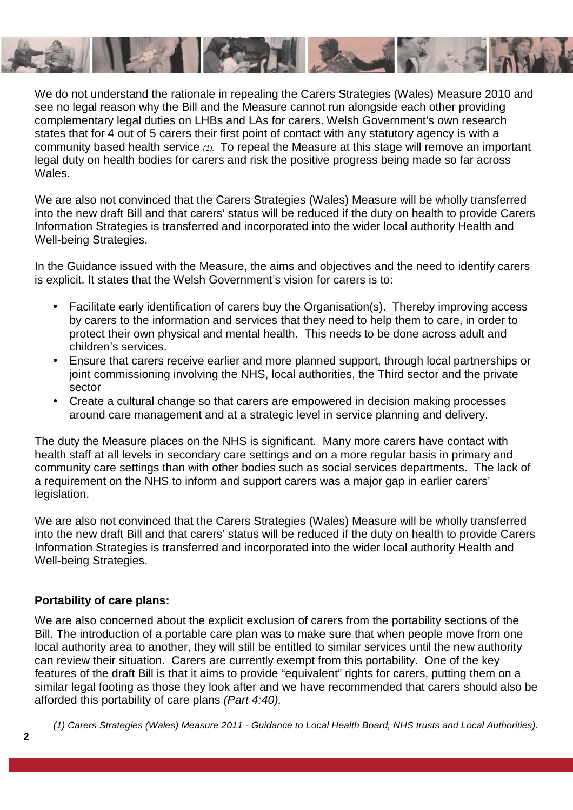

We do not understand the rationale in repealing the Carers Strategies (Wales) Measure 2010 and see no legal reason why the Bill and the Measure cannot run alongside each other providing complementary legal duties on LHBs and LAs for carers. Welsh Government's own research states that for 4 out of 5 carers their first point of contact with any statutory agency is with a community based health service (1). To repeal the Measure at this stage will remove an important legal duty on health bodies for carers and risk the positive progress being made so far across Wales.

We are also not convinced that the Carers Strategies (Wales) Measure will be wholly transferred into the new draft Bill and that carers' status will be reduced if the duty on health to provide Carers Information Strategies is transferred and incorporated into the wider local authority Health and Well-being Strategies.

In the Guidance issued with the Measure, the aims and objectives and the need to identify carers is explicit. It states that the Welsh Government's vision for carers is to:

- Facilitate early identification of carers buy the Organisation(s). Thereby improving access by carers to the information and services that they need to help them to care, in order to protect their own physical and mental health. This needs to be done across adult and children's services.
- Ensure that carers receive earlier and more planned support, through local partnerships or joint commissioning involving the NHS, local authorities, the Third sector and the private sector
- Create a cultural change so that carers are empowered in decision making processes around care management and at a strategic level in service planning and delivery.

The duty the Measure places on the NHS is significant. Many more carers have contact with health staff at all levels in secondary care settings and on a more regular basis in primary and community care settings than with other bodies such as social services departments. The lack of a requirement on the NHS to inform and support carers was a major gap in earlier carers' legislation.

We are also not convinced that the Carers Strategies (Wales) Measure will be wholly transferred into the new draft Bill and that carers' status will be reduced if the duty on health to provide Carers Information Strategies is transferred and incorporated into the wider local authority Health and Well-being Strategies.

### **Portability of care plans:**

We are also concerned about the explicit exclusion of carers from the portability sections of the Bill. The introduction of a portable care plan was to make sure that when people move from one local authority area to another, they will still be entitled to similar services until the new authority can review their situation. Carers are currently exempt from this portability. One of the key features of the draft Bill is that it aims to provide "equivalent" rights for carers, putting them on a similar legal footing as those they look after and we have recommended that carers should also be afforded this portability of care plans (Part 4:40).

(1) Carers Strategies (Wales) Measure 2011 - Guidance to Local Health Board, NHS trusts and Local Authorities).